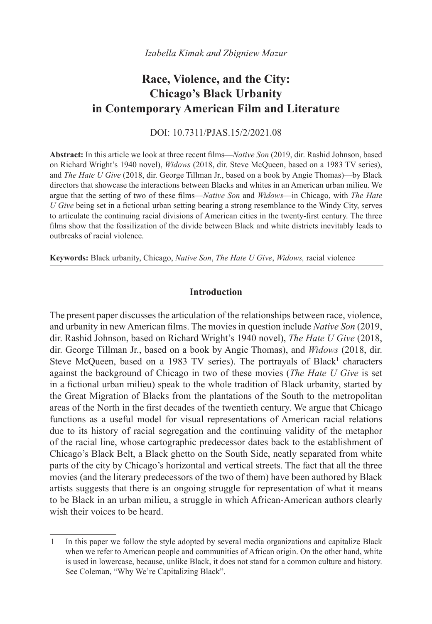# **Race, Violence, and the City: Chicago's Black Urbanity in Contemporary American Film and Literature**

DOI: 10.7311/PJAS.15/2/2021.08

**Abstract:** In this article we look at three recent films—*Native Son* (2019, dir. Rashid Johnson, based on Richard Wright's 1940 novel), *Widows* (2018, dir. Steve McQueen, based on a 1983 TV series), and *The Hate U Give* (2018, dir. George Tillman Jr., based on a book by Angie Thomas)—by Black directors that showcase the interactions between Blacks and whites in an American urban milieu. We argue that the setting of two of these films—*Native Son* and *Widows*—in Chicago, with *The Hate U Give* being set in a fictional urban setting bearing a strong resemblance to the Windy City, serves to articulate the continuing racial divisions of American cities in the twenty-first century. The three films show that the fossilization of the divide between Black and white districts inevitably leads to outbreaks of racial violence.

**Keywords:** Black urbanity, Chicago, *Native Son*, *The Hate U Give*, *Widows,* racial violence

# **Introduction**

The present paper discusses the articulation of the relationships between race, violence, and urbanity in new American films. The movies in question include *Native Son* (2019, dir. Rashid Johnson, based on Richard Wright's 1940 novel), *The Hate U Give* (2018, dir. George Tillman Jr., based on a book by Angie Thomas), and *Widows* (2018, dir. Steve McQueen, based on a 1983 TV series). The portrayals of Black<sup>1</sup> characters against the background of Chicago in two of these movies (*The Hate U Give* is set in a fictional urban milieu) speak to the whole tradition of Black urbanity, started by the Great Migration of Blacks from the plantations of the South to the metropolitan areas of the North in the first decades of the twentieth century. We argue that Chicago functions as a useful model for visual representations of American racial relations due to its history of racial segregation and the continuing validity of the metaphor of the racial line, whose cartographic predecessor dates back to the establishment of Chicago's Black Belt, a Black ghetto on the South Side, neatly separated from white parts of the city by Chicago's horizontal and vertical streets. The fact that all the three movies (and the literary predecessors of the two of them) have been authored by Black artists suggests that there is an ongoing struggle for representation of what it means to be Black in an urban milieu, a struggle in which African-American authors clearly wish their voices to be heard.

<sup>1</sup> In this paper we follow the style adopted by several media organizations and capitalize Black when we refer to American people and communities of African origin. On the other hand, white is used in lowercase, because, unlike Black, it does not stand for a common culture and history. See Coleman, "Why We're Capitalizing Black".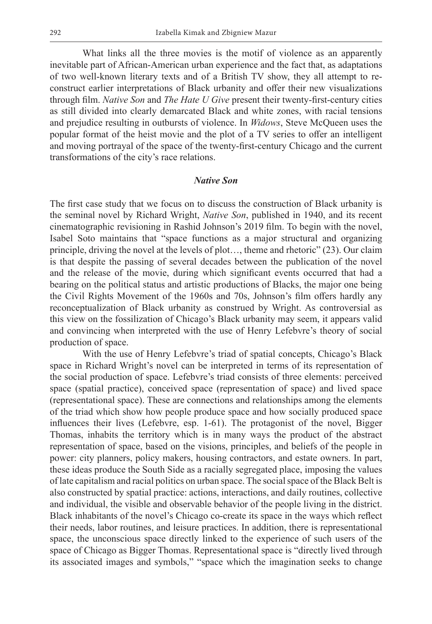What links all the three movies is the motif of violence as an apparently inevitable part of African-American urban experience and the fact that, as adaptations of two well-known literary texts and of a British TV show, they all attempt to reconstruct earlier interpretations of Black urbanity and offer their new visualizations through film. *Native Son* and *The Hate U Give* present their twenty-first-century cities as still divided into clearly demarcated Black and white zones, with racial tensions and prejudice resulting in outbursts of violence. In *Widows*, Steve McQueen uses the popular format of the heist movie and the plot of a TV series to offer an intelligent and moving portrayal of the space of the twenty-first-century Chicago and the current transformations of the city's race relations.

#### *Native Son*

The first case study that we focus on to discuss the construction of Black urbanity is the seminal novel by Richard Wright, *Native Son*, published in 1940, and its recent cinematographic revisioning in Rashid Johnson's 2019 film. To begin with the novel, Isabel Soto maintains that "space functions as a major structural and organizing principle, driving the novel at the levels of plot…, theme and rhetoric" (23). Our claim is that despite the passing of several decades between the publication of the novel and the release of the movie, during which significant events occurred that had a bearing on the political status and artistic productions of Blacks, the major one being the Civil Rights Movement of the 1960s and 70s, Johnson's film offers hardly any reconceptualization of Black urbanity as construed by Wright. As controversial as this view on the fossilization of Chicago's Black urbanity may seem, it appears valid and convincing when interpreted with the use of Henry Lefebvre's theory of social production of space.

With the use of Henry Lefebvre's triad of spatial concepts, Chicago's Black space in Richard Wright's novel can be interpreted in terms of its representation of the social production of space. Lefebvre's triad consists of three elements: perceived space (spatial practice), conceived space (representation of space) and lived space (representational space). These are connections and relationships among the elements of the triad which show how people produce space and how socially produced space influences their lives (Lefebvre, esp. 1-61). The protagonist of the novel, Bigger Thomas, inhabits the territory which is in many ways the product of the abstract representation of space, based on the visions, principles, and beliefs of the people in power: city planners, policy makers, housing contractors, and estate owners. In part, these ideas produce the South Side as a racially segregated place, imposing the values of late capitalism and racial politics on urban space. The social space of the Black Belt is also constructed by spatial practice: actions, interactions, and daily routines, collective and individual, the visible and observable behavior of the people living in the district. Black inhabitants of the novel's Chicago co-create its space in the ways which reflect their needs, labor routines, and leisure practices. In addition, there is representational space, the unconscious space directly linked to the experience of such users of the space of Chicago as Bigger Thomas. Representational space is "directly lived through its associated images and symbols," "space which the imagination seeks to change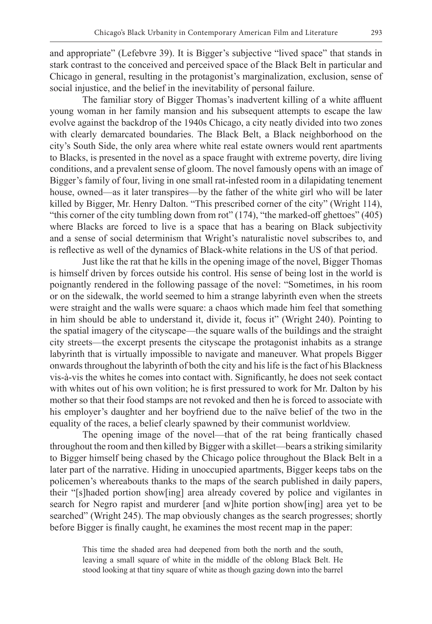and appropriate" (Lefebvre 39). It is Bigger's subjective "lived space" that stands in stark contrast to the conceived and perceived space of the Black Belt in particular and Chicago in general, resulting in the protagonist's marginalization, exclusion, sense of social injustice, and the belief in the inevitability of personal failure.

The familiar story of Bigger Thomas's inadvertent killing of a white affluent young woman in her family mansion and his subsequent attempts to escape the law evolve against the backdrop of the 1940s Chicago, a city neatly divided into two zones with clearly demarcated boundaries. The Black Belt, a Black neighborhood on the city's South Side, the only area where white real estate owners would rent apartments to Blacks, is presented in the novel as a space fraught with extreme poverty, dire living conditions, and a prevalent sense of gloom. The novel famously opens with an image of Bigger's family of four, living in one small rat-infested room in a dilapidating tenement house, owned—as it later transpires—by the father of the white girl who will be later killed by Bigger, Mr. Henry Dalton. "This prescribed corner of the city" (Wright 114), "this corner of the city tumbling down from rot" (174), "the marked-off ghettoes" (405) where Blacks are forced to live is a space that has a bearing on Black subjectivity and a sense of social determinism that Wright's naturalistic novel subscribes to, and is reflective as well of the dynamics of Black-white relations in the US of that period.

Just like the rat that he kills in the opening image of the novel, Bigger Thomas is himself driven by forces outside his control. His sense of being lost in the world is poignantly rendered in the following passage of the novel: "Sometimes, in his room or on the sidewalk, the world seemed to him a strange labyrinth even when the streets were straight and the walls were square: a chaos which made him feel that something in him should be able to understand it, divide it, focus it" (Wright 240). Pointing to the spatial imagery of the cityscape—the square walls of the buildings and the straight city streets—the excerpt presents the cityscape the protagonist inhabits as a strange labyrinth that is virtually impossible to navigate and maneuver. What propels Bigger onwards throughout the labyrinth of both the city and his life is the fact of his Blackness vis-à-vis the whites he comes into contact with. Significantly, he does not seek contact with whites out of his own volition; he is first pressured to work for Mr. Dalton by his mother so that their food stamps are not revoked and then he is forced to associate with his employer's daughter and her boyfriend due to the naïve belief of the two in the equality of the races, a belief clearly spawned by their communist worldview.

The opening image of the novel—that of the rat being frantically chased throughout the room and then killed by Bigger with a skillet—bears a striking similarity to Bigger himself being chased by the Chicago police throughout the Black Belt in a later part of the narrative. Hiding in unoccupied apartments, Bigger keeps tabs on the policemen's whereabouts thanks to the maps of the search published in daily papers, their "[s]haded portion show[ing] area already covered by police and vigilantes in search for Negro rapist and murderer [and w]hite portion show[ing] area yet to be searched" (Wright 245). The map obviously changes as the search progresses; shortly before Bigger is finally caught, he examines the most recent map in the paper:

This time the shaded area had deepened from both the north and the south, leaving a small square of white in the middle of the oblong Black Belt. He stood looking at that tiny square of white as though gazing down into the barrel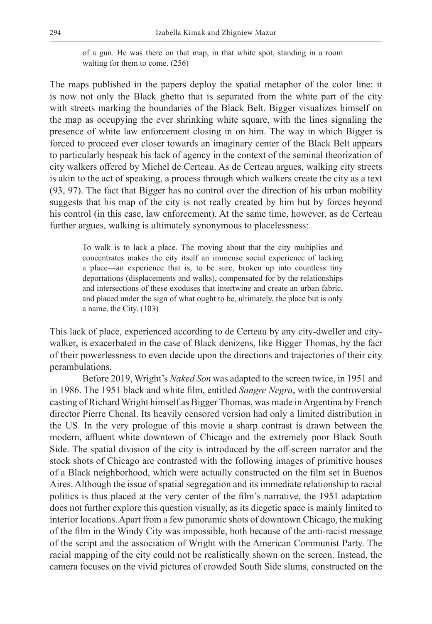of a gun. He was there on that map, in that white spot, standing in a room waiting for them to come. (256)

The maps published in the papers deploy the spatial metaphor of the color line: it is now not only the Black ghetto that is separated from the white part of the city with streets marking the boundaries of the Black Belt. Bigger visualizes himself on the map as occupying the ever shrinking white square, with the lines signaling the presence of white law enforcement closing in on him. The way in which Bigger is forced to proceed ever closer towards an imaginary center of the Black Belt appears to particularly bespeak his lack of agency in the context of the seminal theorization of city walkers offered by Michel de Certeau. As de Certeau argues, walking city streets is akin to the act of speaking, a process through which walkers create the city as a text (93, 97). The fact that Bigger has no control over the direction of his urban mobility suggests that his map of the city is not really created by him but by forces beyond his control (in this case, law enforcement). At the same time, however, as de Certeau further argues, walking is ultimately synonymous to placelessness:

To walk is to lack a place. The moving about that the city multiplies and concentrates makes the city itself an immense social experience of lacking a place—an experience that is, to be sure, broken up into countless tiny deportations (displacements and walks), compensated for by the relationships and intersections of these exoduses that intertwine and create an urban fabric, and placed under the sign of what ought to be, ultimately, the place but is only a name, the City. (103)

This lack of place, experienced according to de Certeau by any city-dweller and citywalker, is exacerbated in the case of Black denizens, like Bigger Thomas, by the fact of their powerlessness to even decide upon the directions and trajectories of their city perambulations.

Before 2019, Wright's *Naked Son* was adapted to the screen twice, in 1951 and in 1986. The 1951 black and white film, entitled *Sangre Negra*, with the controversial casting of Richard Wright himself as Bigger Thomas, was made in Argentina by French director Pierre Chenal. Its heavily censored version had only a limited distribution in the US. In the very prologue of this movie a sharp contrast is drawn between the modern, affluent white downtown of Chicago and the extremely poor Black South Side. The spatial division of the city is introduced by the off-screen narrator and the stock shots of Chicago are contrasted with the following images of primitive houses of a Black neighborhood, which were actually constructed on the film set in Buenos Aires. Although the issue of spatial segregation and its immediate relationship to racial politics is thus placed at the very center of the film's narrative, the 1951 adaptation does not further explore this question visually, as its diegetic space is mainly limited to interior locations. Apart from a few panoramic shots of downtown Chicago, the making of the film in the Windy City was impossible, both because of the anti-racist message of the script and the association of Wright with the American Communist Party. The racial mapping of the city could not be realistically shown on the screen. Instead, the camera focuses on the vivid pictures of crowded South Side slums, constructed on the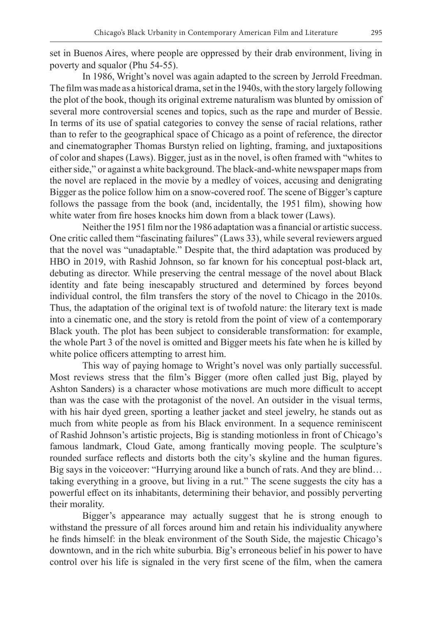set in Buenos Aires, where people are oppressed by their drab environment, living in poverty and squalor (Phu 54-55).

In 1986, Wright's novel was again adapted to the screen by Jerrold Freedman. The film was made as a historical drama, set in the 1940s, with the story largely following the plot of the book, though its original extreme naturalism was blunted by omission of several more controversial scenes and topics, such as the rape and murder of Bessie. In terms of its use of spatial categories to convey the sense of racial relations, rather than to refer to the geographical space of Chicago as a point of reference, the director and cinematographer Thomas Burstyn relied on lighting, framing, and juxtapositions of color and shapes (Laws). Bigger, just as in the novel, is often framed with "whites to either side," or against a white background. The black-and-white newspaper maps from the novel are replaced in the movie by a medley of voices, accusing and denigrating Bigger as the police follow him on a snow-covered roof. The scene of Bigger's capture follows the passage from the book (and, incidentally, the 1951 film), showing how white water from fire hoses knocks him down from a black tower (Laws).

Neither the 1951 film nor the 1986 adaptation was a financial or artistic success. One critic called them "fascinating failures" (Laws 33), while several reviewers argued that the novel was "unadaptable." Despite that, the third adaptation was produced by HBO in 2019, with Rashid Johnson, so far known for his conceptual post-black art, debuting as director. While preserving the central message of the novel about Black identity and fate being inescapably structured and determined by forces beyond individual control, the film transfers the story of the novel to Chicago in the 2010s. Thus, the adaptation of the original text is of twofold nature: the literary text is made into a cinematic one, and the story is retold from the point of view of a contemporary Black youth. The plot has been subject to considerable transformation: for example, the whole Part 3 of the novel is omitted and Bigger meets his fate when he is killed by white police officers attempting to arrest him.

This way of paying homage to Wright's novel was only partially successful. Most reviews stress that the film's Bigger (more often called just Big, played by Ashton Sanders) is a character whose motivations are much more difficult to accept than was the case with the protagonist of the novel. An outsider in the visual terms, with his hair dyed green, sporting a leather jacket and steel jewelry, he stands out as much from white people as from his Black environment. In a sequence reminiscent of Rashid Johnson's artistic projects, Big is standing motionless in front of Chicago's famous landmark, Cloud Gate, among frantically moving people. The sculpture's rounded surface reflects and distorts both the city's skyline and the human figures. Big says in the voiceover: "Hurrying around like a bunch of rats. And they are blind… taking everything in a groove, but living in a rut." The scene suggests the city has a powerful effect on its inhabitants, determining their behavior, and possibly perverting their morality.

Bigger's appearance may actually suggest that he is strong enough to withstand the pressure of all forces around him and retain his individuality anywhere he finds himself: in the bleak environment of the South Side, the majestic Chicago's downtown, and in the rich white suburbia. Big's erroneous belief in his power to have control over his life is signaled in the very first scene of the film, when the camera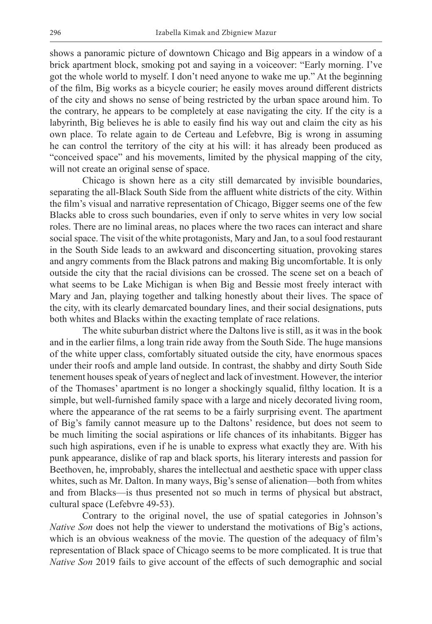shows a panoramic picture of downtown Chicago and Big appears in a window of a brick apartment block, smoking pot and saying in a voiceover: "Early morning. I've got the whole world to myself. I don't need anyone to wake me up." At the beginning of the film, Big works as a bicycle courier; he easily moves around different districts of the city and shows no sense of being restricted by the urban space around him. To the contrary, he appears to be completely at ease navigating the city. If the city is a labyrinth, Big believes he is able to easily find his way out and claim the city as his own place. To relate again to de Certeau and Lefebvre, Big is wrong in assuming he can control the territory of the city at his will: it has already been produced as "conceived space" and his movements, limited by the physical mapping of the city, will not create an original sense of space.

Chicago is shown here as a city still demarcated by invisible boundaries, separating the all-Black South Side from the affluent white districts of the city. Within the film's visual and narrative representation of Chicago, Bigger seems one of the few Blacks able to cross such boundaries, even if only to serve whites in very low social roles. There are no liminal areas, no places where the two races can interact and share social space. The visit of the white protagonists, Mary and Jan, to a soul food restaurant in the South Side leads to an awkward and disconcerting situation, provoking stares and angry comments from the Black patrons and making Big uncomfortable. It is only outside the city that the racial divisions can be crossed. The scene set on a beach of what seems to be Lake Michigan is when Big and Bessie most freely interact with Mary and Jan, playing together and talking honestly about their lives. The space of the city, with its clearly demarcated boundary lines, and their social designations, puts both whites and Blacks within the exacting template of race relations.

The white suburban district where the Daltons live is still, as it was in the book and in the earlier films, a long train ride away from the South Side. The huge mansions of the white upper class, comfortably situated outside the city, have enormous spaces under their roofs and ample land outside. In contrast, the shabby and dirty South Side tenement houses speak of years of neglect and lack of investment. However, the interior of the Thomases' apartment is no longer a shockingly squalid, filthy location. It is a simple, but well-furnished family space with a large and nicely decorated living room, where the appearance of the rat seems to be a fairly surprising event. The apartment of Big's family cannot measure up to the Daltons' residence, but does not seem to be much limiting the social aspirations or life chances of its inhabitants. Bigger has such high aspirations, even if he is unable to express what exactly they are. With his punk appearance, dislike of rap and black sports, his literary interests and passion for Beethoven, he, improbably, shares the intellectual and aesthetic space with upper class whites, such as Mr. Dalton. In many ways, Big's sense of alienation—both from whites and from Blacks—is thus presented not so much in terms of physical but abstract, cultural space (Lefebvre 49-53).

Contrary to the original novel, the use of spatial categories in Johnson's *Native Son* does not help the viewer to understand the motivations of Big's actions, which is an obvious weakness of the movie. The question of the adequacy of film's representation of Black space of Chicago seems to be more complicated. It is true that *Native Son* 2019 fails to give account of the effects of such demographic and social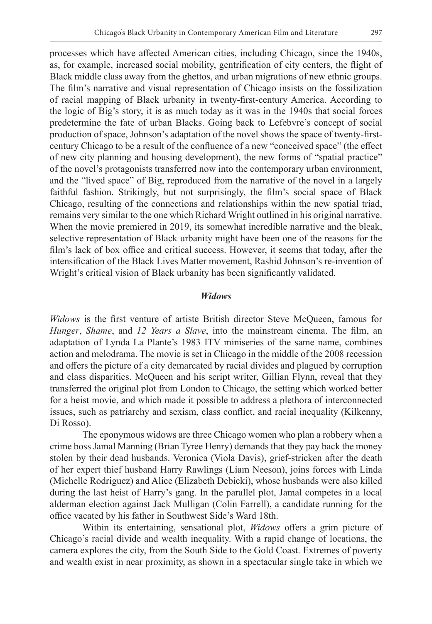processes which have affected American cities, including Chicago, since the 1940s, as, for example, increased social mobility, gentrification of city centers, the flight of Black middle class away from the ghettos, and urban migrations of new ethnic groups. The film's narrative and visual representation of Chicago insists on the fossilization of racial mapping of Black urbanity in twenty-first-century America. According to the logic of Big's story, it is as much today as it was in the 1940s that social forces predetermine the fate of urban Blacks. Going back to Lefebvre's concept of social production of space, Johnson's adaptation of the novel shows the space of twenty-firstcentury Chicago to be a result of the confluence of a new "conceived space" (the effect of new city planning and housing development), the new forms of "spatial practice" of the novel's protagonists transferred now into the contemporary urban environment, and the "lived space" of Big, reproduced from the narrative of the novel in a largely faithful fashion. Strikingly, but not surprisingly, the film's social space of Black Chicago, resulting of the connections and relationships within the new spatial triad, remains very similar to the one which Richard Wright outlined in his original narrative. When the movie premiered in 2019, its somewhat incredible narrative and the bleak, selective representation of Black urbanity might have been one of the reasons for the film's lack of box office and critical success. However, it seems that today, after the intensification of the Black Lives Matter movement, Rashid Johnson's re-invention of Wright's critical vision of Black urbanity has been significantly validated.

#### *Widows*

*Widows* is the first venture of artiste British director Steve McQueen, famous for *Hunger*, *Shame*, and *12 Years a Slave*, into the mainstream cinema. The film, an adaptation of Lynda La Plante's 1983 ITV miniseries of the same name, combines action and melodrama. The movie is set in Chicago in the middle of the 2008 recession and offers the picture of a city demarcated by racial divides and plagued by corruption and class disparities. McQueen and his script writer, Gillian Flynn, reveal that they transferred the original plot from London to Chicago, the setting which worked better for a heist movie, and which made it possible to address a plethora of interconnected issues, such as patriarchy and sexism, class conflict, and racial inequality (Kilkenny, Di Rosso).

The eponymous widows are three Chicago women who plan a robbery when a crime boss Jamal Manning (Brian Tyree Henry) demands that they pay back the money stolen by their dead husbands. Veronica (Viola Davis), grief-stricken after the death of her expert thief husband Harry Rawlings (Liam Neeson), joins forces with Linda (Michelle Rodriguez) and Alice (Elizabeth Debicki), whose husbands were also killed during the last heist of Harry's gang. In the parallel plot, Jamal competes in a local alderman election against Jack Mulligan (Colin Farrell), a candidate running for the office vacated by his father in Southwest Side's Ward 18th.

Within its entertaining, sensational plot, *Widows* offers a grim picture of Chicago's racial divide and wealth inequality. With a rapid change of locations, the camera explores the city, from the South Side to the Gold Coast. Extremes of poverty and wealth exist in near proximity, as shown in a spectacular single take in which we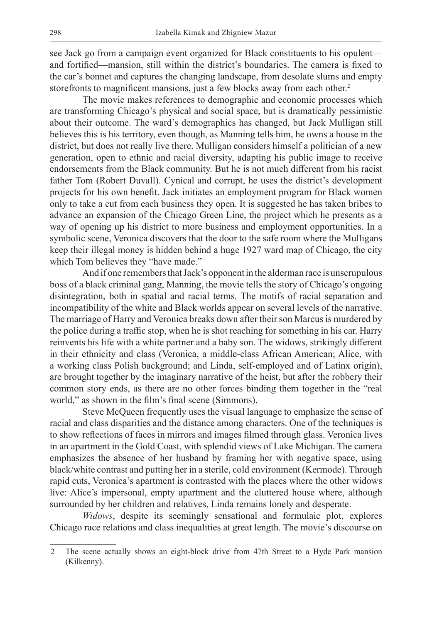see Jack go from a campaign event organized for Black constituents to his opulent and fortified—mansion, still within the district's boundaries. The camera is fixed to the car's bonnet and captures the changing landscape, from desolate slums and empty storefronts to magnificent mansions, just a few blocks away from each other. 2

The movie makes references to demographic and economic processes which are transforming Chicago's physical and social space, but is dramatically pessimistic about their outcome. The ward's demographics has changed, but Jack Mulligan still believes this is his territory, even though, as Manning tells him, he owns a house in the district, but does not really live there. Mulligan considers himself a politician of a new generation, open to ethnic and racial diversity, adapting his public image to receive endorsements from the Black community. But he is not much different from his racist father Tom (Robert Duvall). Cynical and corrupt, he uses the district's development projects for his own benefit. Jack initiates an employment program for Black women only to take a cut from each business they open. It is suggested he has taken bribes to advance an expansion of the Chicago Green Line, the project which he presents as a way of opening up his district to more business and employment opportunities. In a symbolic scene, Veronica discovers that the door to the safe room where the Mulligans keep their illegal money is hidden behind a huge 1927 ward map of Chicago, the city which Tom believes they "have made."

And if one remembers that Jack's opponent in the alderman race is unscrupulous boss of a black criminal gang, Manning, the movie tells the story of Chicago's ongoing disintegration, both in spatial and racial terms. The motifs of racial separation and incompatibility of the white and Black worlds appear on several levels of the narrative. The marriage of Harry and Veronica breaks down after their son Marcus is murdered by the police during a traffic stop, when he is shot reaching for something in his car. Harry reinvents his life with a white partner and a baby son. The widows, strikingly different in their ethnicity and class (Veronica, a middle-class African American; Alice, with a working class Polish background; and Linda, self-employed and of Latinx origin), are brought together by the imaginary narrative of the heist, but after the robbery their common story ends, as there are no other forces binding them together in the "real world," as shown in the film's final scene (Simmons).

Steve McQueen frequently uses the visual language to emphasize the sense of racial and class disparities and the distance among characters. One of the techniques is to show reflections of faces in mirrors and images filmed through glass. Veronica lives in an apartment in the Gold Coast, with splendid views of Lake Michigan. The camera emphasizes the absence of her husband by framing her with negative space, using black/white contrast and putting her in a sterile, cold environment (Kermode). Through rapid cuts, Veronica's apartment is contrasted with the places where the other widows live: Alice's impersonal, empty apartment and the cluttered house where, although surrounded by her children and relatives, Linda remains lonely and desperate.

*Widows*, despite its seemingly sensational and formulaic plot, explores Chicago race relations and class inequalities at great length. The movie's discourse on

<sup>2</sup> The scene actually shows an eight-block drive from 47th Street to a Hyde Park mansion (Kilkenny).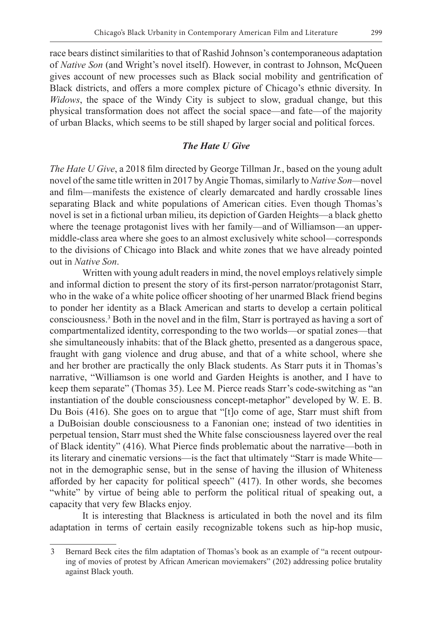race bears distinct similarities to that of Rashid Johnson's contemporaneous adaptation of *Native Son* (and Wright's novel itself). However, in contrast to Johnson, McQueen gives account of new processes such as Black social mobility and gentrification of Black districts, and offers a more complex picture of Chicago's ethnic diversity. In *Widows*, the space of the Windy City is subject to slow, gradual change, but this physical transformation does not affect the social space—and fate—of the majority of urban Blacks, which seems to be still shaped by larger social and political forces.

# *The Hate U Give*

*The Hate U Give*, a 2018 film directed by George Tillman Jr., based on the young adult novel of the same title written in 2017 by Angie Thomas, similarly to *Native Son—*novel and film—manifests the existence of clearly demarcated and hardly crossable lines separating Black and white populations of American cities. Even though Thomas's novel is set in a fictional urban milieu, its depiction of Garden Heights—a black ghetto where the teenage protagonist lives with her family—and of Williamson—an uppermiddle-class area where she goes to an almost exclusively white school—corresponds to the divisions of Chicago into Black and white zones that we have already pointed out in *Native Son*.

Written with young adult readers in mind, the novel employs relatively simple and informal diction to present the story of its first-person narrator/protagonist Starr, who in the wake of a white police officer shooting of her unarmed Black friend begins to ponder her identity as a Black American and starts to develop a certain political consciousness.3 Both in the novel and in the film, Starr is portrayed as having a sort of compartmentalized identity, corresponding to the two worlds—or spatial zones—that she simultaneously inhabits: that of the Black ghetto, presented as a dangerous space, fraught with gang violence and drug abuse, and that of a white school, where she and her brother are practically the only Black students. As Starr puts it in Thomas's narrative, "Williamson is one world and Garden Heights is another, and I have to keep them separate" (Thomas 35). Lee M. Pierce reads Starr's code-switching as "an instantiation of the double consciousness concept-metaphor" developed by W. E. B. Du Bois (416). She goes on to argue that "[t]o come of age, Starr must shift from a DuBoisian double consciousness to a Fanonian one; instead of two identities in perpetual tension, Starr must shed the White false consciousness layered over the real of Black identity" (416). What Pierce finds problematic about the narrative—both in its literary and cinematic versions—is the fact that ultimately "Starr is made White not in the demographic sense, but in the sense of having the illusion of Whiteness afforded by her capacity for political speech" (417). In other words, she becomes "white" by virtue of being able to perform the political ritual of speaking out, a capacity that very few Blacks enjoy.

It is interesting that Blackness is articulated in both the novel and its film adaptation in terms of certain easily recognizable tokens such as hip-hop music,

<sup>3</sup> Bernard Beck cites the film adaptation of Thomas's book as an example of "a recent outpouring of movies of protest by African American moviemakers" (202) addressing police brutality against Black youth.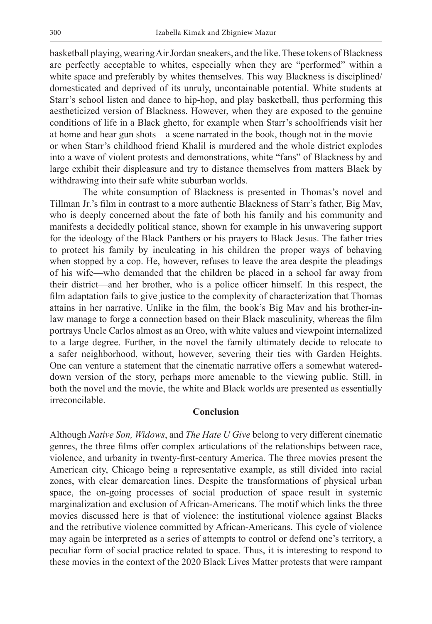basketball playing, wearing Air Jordan sneakers, and the like. These tokens of Blackness are perfectly acceptable to whites, especially when they are "performed" within a white space and preferably by whites themselves. This way Blackness is disciplined/ domesticated and deprived of its unruly, uncontainable potential. White students at Starr's school listen and dance to hip-hop, and play basketball, thus performing this aestheticized version of Blackness. However, when they are exposed to the genuine conditions of life in a Black ghetto, for example when Starr's schoolfriends visit her at home and hear gun shots—a scene narrated in the book, though not in the movie or when Starr's childhood friend Khalil is murdered and the whole district explodes into a wave of violent protests and demonstrations, white "fans" of Blackness by and large exhibit their displeasure and try to distance themselves from matters Black by withdrawing into their safe white suburban worlds.

The white consumption of Blackness is presented in Thomas's novel and Tillman Jr.'s film in contrast to a more authentic Blackness of Starr's father, Big Mav, who is deeply concerned about the fate of both his family and his community and manifests a decidedly political stance, shown for example in his unwavering support for the ideology of the Black Panthers or his prayers to Black Jesus. The father tries to protect his family by inculcating in his children the proper ways of behaving when stopped by a cop. He, however, refuses to leave the area despite the pleadings of his wife—who demanded that the children be placed in a school far away from their district—and her brother, who is a police officer himself. In this respect, the film adaptation fails to give justice to the complexity of characterization that Thomas attains in her narrative. Unlike in the film, the book's Big Mav and his brother-inlaw manage to forge a connection based on their Black masculinity, whereas the film portrays Uncle Carlos almost as an Oreo, with white values and viewpoint internalized to a large degree. Further, in the novel the family ultimately decide to relocate to a safer neighborhood, without, however, severing their ties with Garden Heights. One can venture a statement that the cinematic narrative offers a somewhat watereddown version of the story, perhaps more amenable to the viewing public. Still, in both the novel and the movie, the white and Black worlds are presented as essentially irreconcilable.

## **Conclusion**

Although *Native Son, Widows*, and *The Hate U Give* belong to very different cinematic genres, the three films offer complex articulations of the relationships between race, violence, and urbanity in twenty-first-century America. The three movies present the American city, Chicago being a representative example, as still divided into racial zones, with clear demarcation lines. Despite the transformations of physical urban space, the on-going processes of social production of space result in systemic marginalization and exclusion of African-Americans. The motif which links the three movies discussed here is that of violence: the institutional violence against Blacks and the retributive violence committed by African-Americans. This cycle of violence may again be interpreted as a series of attempts to control or defend one's territory, a peculiar form of social practice related to space. Thus, it is interesting to respond to these movies in the context of the 2020 Black Lives Matter protests that were rampant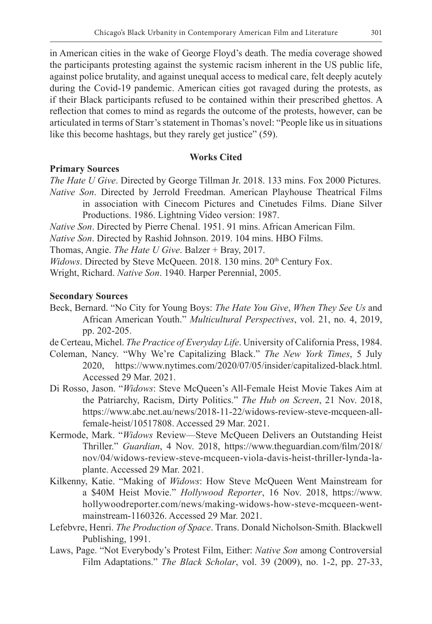in American cities in the wake of George Floyd's death. The media coverage showed the participants protesting against the systemic racism inherent in the US public life, against police brutality, and against unequal access to medical care, felt deeply acutely during the Covid-19 pandemic. American cities got ravaged during the protests, as if their Black participants refused to be contained within their prescribed ghettos. A reflection that comes to mind as regards the outcome of the protests, however, can be articulated in terms of Starr's statement in Thomas's novel: "People like us in situations like this become hashtags, but they rarely get justice" (59).

# **Works Cited**

## **Primary Sources**

*The Hate U Give*. Directed by George Tillman Jr. 2018. 133 mins. Fox 2000 Pictures. *Native Son*. Directed by Jerrold Freedman. American Playhouse Theatrical Films in association with Cinecom Pictures and Cinetudes Films. Diane Silver

Productions. 1986. Lightning Video version: 1987.

*Native Son*. Directed by Pierre Chenal. 1951. 91 mins. African American Film.

*Native Son*. Directed by Rashid Johnson. 2019. 104 mins. HBO Films.

Thomas, Angie. *The Hate U Give*. Balzer + Bray, 2017.

*Widows*. Directed by Steve McQueen. 2018. 130 mins. 20<sup>th</sup> Century Fox.

Wright, Richard. *Native Son*. 1940. Harper Perennial, 2005.

## **Secondary Sources**

Beck, Bernard. "No City for Young Boys: *The Hate You Give*, *When They See Us* and African American Youth." *Multicultural Perspectives*, vol. 21, no. 4, 2019, pp. 202-205.

de Certeau, Michel. *The Practice of Everyday Life*. University of California Press, 1984.

- Coleman, Nancy. "Why We're Capitalizing Black." *The New York Times*, 5 July 2020, https://www.nytimes.com/2020/07/05/insider/capitalized-black.html. Accessed 29 Mar. 2021.
- Di Rosso, Jason. "*Widows*: Steve McQueen's All-Female Heist Movie Takes Aim at the Patriarchy, Racism, Dirty Politics." *The Hub on Screen*, 21 Nov. 2018, https://www.abc.net.au/news/2018-11-22/widows-review-steve-mcqueen-allfemale-heist/10517808. Accessed 29 Mar. 2021.
- Kermode, Mark. "*Widows* Review—Steve McQueen Delivers an Outstanding Heist Thriller." *Guardian*, 4 Nov. 2018, https://www.theguardian.com/film/2018/ nov/04/widows-review-steve-mcqueen-viola-davis-heist-thriller-lynda-laplante. Accessed 29 Mar. 2021.
- Kilkenny, Katie. "Making of *Widows*: How Steve McQueen Went Mainstream for a \$40M Heist Movie." *Hollywood Reporter*, 16 Nov. 2018, https://www. hollywoodreporter.com/news/making-widows-how-steve-mcqueen-wentmainstream-1160326. Accessed 29 Mar. 2021.
- Lefebvre, Henri. *The Production of Space*. Trans. Donald Nicholson-Smith. Blackwell Publishing, 1991.
- Laws, Page. "Not Everybody's Protest Film, Either: *Native Son* among Controversial Film Adaptations." *The Black Scholar*, vol. 39 (2009), no. 1-2, pp. 27-33,